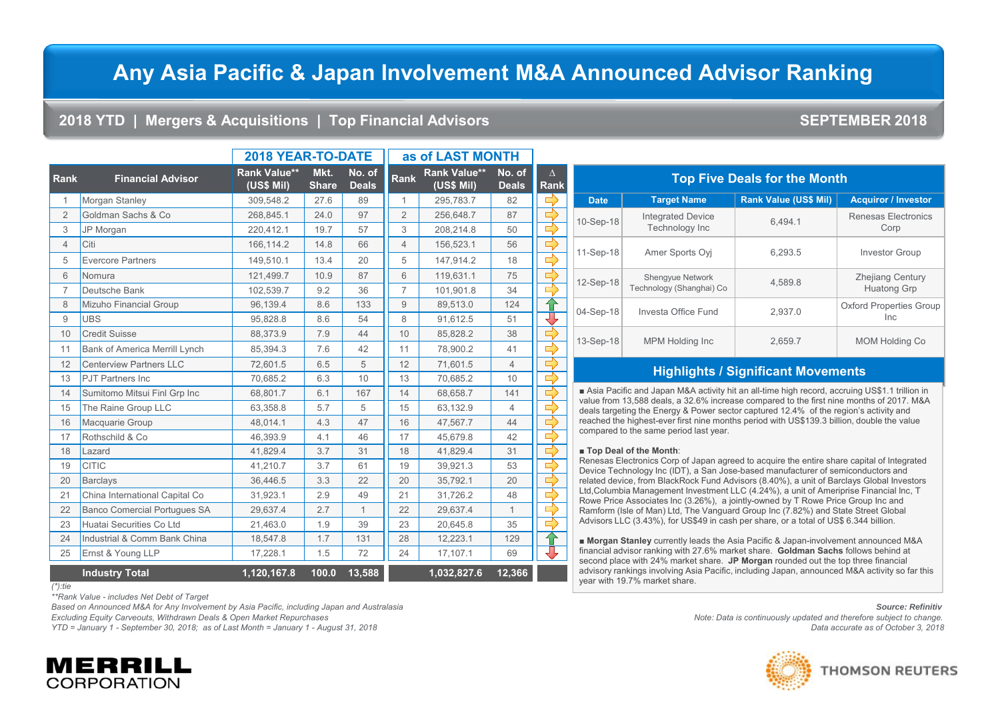# **Any Asia Pacific & Japan Involvement M&A Announced Advisor Ranking**

### **2018 YTD | Mergers & Acquisitions | Top Financial Advisors SEPTEMBER 2018**

|                |                                     | 2018 YEAR-TO-DATE                 |                      |                        | as of LAST MONTH |                                   |                        |                         |                                  |  |
|----------------|-------------------------------------|-----------------------------------|----------------------|------------------------|------------------|-----------------------------------|------------------------|-------------------------|----------------------------------|--|
| <b>ank</b>     | <b>Financial Advisor</b>            | <b>Rank Value**</b><br>(US\$ Mil) | Mkt.<br><b>Share</b> | No. of<br><b>Deals</b> | Rank             | <b>Rank Value**</b><br>(US\$ Mil) | No. of<br><b>Deals</b> | $\Delta$<br><b>Rank</b> |                                  |  |
| $\mathbf{1}$   | Morgan Stanley                      | 309,548.2                         | 27.6                 | 89                     | 1                | 295,783.7                         | 82                     | $\Rightarrow$           | <b>Date</b>                      |  |
| $\overline{2}$ | Goldman Sachs & Co                  | 268,845.1                         | 24.0                 | 97                     | $\overline{2}$   | 256,648.7                         | 87                     | $\Rightarrow$           | 10-Sep-18                        |  |
| 3              | JP Morgan                           | 220,412.1                         | 19.7                 | 57                     | 3                | 208,214.8                         | 50                     |                         |                                  |  |
| $\overline{4}$ | Citi                                | 166,114.2                         | 14.8                 | 66                     | $\overline{4}$   | 156,523.1                         | 56                     | $\Rightarrow$           |                                  |  |
| 5              | <b>Evercore Partners</b>            | 149.510.1                         | 13.4                 | 20                     | 5                | 147,914.2                         | 18                     | $\Rightarrow$           | 11-Sep-18                        |  |
| 6              | Nomura                              | 121,499.7                         | 10.9                 | 87                     | 6                | 119,631.1                         | 75                     |                         |                                  |  |
| $\overline{7}$ | Deutsche Bank                       | 102,539.7                         | 9.2                  | 36                     | $\overline{7}$   | 101,901.8                         | 34                     |                         | 12-Sep-18<br>$\Rightarrow$       |  |
| $\,8\,$        | <b>Mizuho Financial Group</b>       | 96,139.4                          | 8.6                  | 133                    | 9                | 89,513.0                          | 124                    | ⇧                       | 04-Sep-18                        |  |
| 9              | <b>UBS</b>                          | 95,828.8                          | 8.6                  | 54                     | 8                | 91,612.5                          | 51                     |                         |                                  |  |
| 10             | <b>Credit Suisse</b>                | 88,373.9                          | 7.9                  | 44                     | 10               | 85,828.2                          | 38                     |                         |                                  |  |
| 11             | Bank of America Merrill Lynch       | 85,394.3                          | 7.6                  | 42                     | 11               | 78,900.2                          | 41                     | $\Rightarrow$           | 13-Sep-18                        |  |
| 12             | <b>Centerview Partners LLC</b>      | 72,601.5                          | 6.5                  | 5                      | 12               | 71,601.5                          | $\overline{4}$         | ⇒                       |                                  |  |
| 13             | <b>PJT</b> Partners Inc             | 70.685.2                          | 6.3                  | 10                     | 13               | 70.685.2                          | 10                     | ⇨                       |                                  |  |
| 14             | Sumitomo Mitsui Finl Grp Inc        | 68,801.7                          | 6.1                  | 167                    | 14               | 68,658.7                          | 141                    |                         | Asia Paci                        |  |
| 15             | The Raine Group LLC                 | 63,358.8                          | 5.7                  | 5                      | 15               | 63,132.9                          | $\overline{4}$         |                         | value from<br>deals target       |  |
| 16             | Macquarie Group                     | 48,014.1                          | 4.3                  | 47                     | 16               | 47,567.7                          | 44                     | $\Rightarrow$           | reached the                      |  |
| 17             | Rothschild & Co                     | 46,393.9                          | 4.1                  | 46                     | 17               | 45,679.8                          | 42                     |                         | compared t                       |  |
| 18             | Lazard                              | 41.829.4                          | 3.7                  | 31                     | 18               | 41,829.4                          | 31                     |                         | <b>Top Deal</b>                  |  |
| 19             | <b>CITIC</b>                        | 41,210.7                          | 3.7                  | 61                     | 19               | 39,921.3                          | 53                     |                         | Renesas El<br>Device Tec         |  |
| 20             | <b>Barclays</b>                     | 36,446.5                          | 3.3                  | 22                     | 20               | 35,792.1                          | 20                     | $\Rightarrow$           | related dev                      |  |
| 21             | China International Capital Co      | 31,923.1                          | 2.9                  | 49                     | 21               | 31,726.2                          | 48                     | ⇨                       | Ltd, Columb<br><b>Rowe Price</b> |  |
| 22             | <b>Banco Comercial Portugues SA</b> | 29,637.4                          | 2.7                  | $\mathbf{1}$           | 22               | 29,637.4                          | $\mathbf{1}$           |                         | Ramform (I                       |  |
| 23             | Huatai Securities Co Ltd            | 21,463.0                          | 1.9                  | 39                     | 23               | 20,645.8                          | 35                     |                         | <b>Advisors LL</b>               |  |
| 24             | Industrial & Comm Bank China        | 18,547.8                          | 1.7                  | 131                    | 28               | 12,223.1                          | 129                    | क़                      | ≡ Morgan !                       |  |

| <b>Industry Total</b> |  | 1,032,827.6 12,366 |  |
|-----------------------|--|--------------------|--|
| $(*)$ :tie            |  |                    |  |

**Rank Financial Advisor**

*\*\*Rank Value - includes Net Debt of Target*

*Based on Announced M&A for Any Involvement by Asia Pacific, including Japan and Australasia Source: Refinitiv*

25 Ernst & Young LLP 17,228.1 1.5 72 24 17,107.1 69

*YTD = January 1 - September 30, 2018; as of Last Month = January 1 - August 31, 2018 Data accurate as of October 3, 2018*

| к |             |                                                     |                              |                                               |
|---|-------------|-----------------------------------------------------|------------------------------|-----------------------------------------------|
|   | <b>Date</b> | <b>Target Name</b>                                  | <b>Rank Value (US\$ Mil)</b> | <b>Acquiror / Investor</b>                    |
|   | 10-Sep-18   | <b>Integrated Device</b><br>Technology Inc          | 6.494.1                      | <b>Renesas Electronics</b><br>Corp            |
|   | 11-Sep-18   | Amer Sports Ovi                                     | 6,293.5                      | <b>Investor Group</b>                         |
|   | 12-Sep-18   | <b>Shengyue Network</b><br>Technology (Shanghai) Co | 4.589.8                      | <b>Zhejiang Century</b><br><b>Huatong Grp</b> |
|   | 04-Sep-18   | Investa Office Fund                                 | 2.937.0                      | <b>Oxford Properties Group</b><br><b>Inc</b>  |
|   | 13-Sep-18   | <b>MPM Holding Inc</b>                              | 2,659.7                      | <b>MOM Holding Co</b>                         |

**Top Five Deals for the Month**

### **Highlights / Significant Movements**

Ific and Japan M&A activity hit an all-time high record, accruing US\$1.1 trillion in 13,588 deals, a 32.6% increase compared to the first nine months of 2017. M&A ting the Energy & Power sector captured 12.4% of the region's activity and e highest-ever first nine months period with US\$139.3 billion, double the value to the same period last year.

### of the Month:

┺

lectronics Corp of Japan agreed to acquire the entire share capital of Integrated hnology Inc (IDT), a San Jose-based manufacturer of semiconductors and ice, from BlackRock Fund Advisors (8.40%), a unit of Barclays Global Investors bia Management Investment LLC (4.24%), a unit of Ameriprise Financial Inc, T Rowe Price Group Inc (3.26%), a jointly-owned by T Rowe Price Group Inc and sle of Man) Ltd, The Vanguard Group Inc (7.82%) and State Street Global LC (3.43%), for US\$49 in cash per share, or a total of US\$ 6.344 billion.

■ **Morgan Stanley** currently leads the Asia Pacific & Japan-involvement announced M&A financial advisor ranking with 27.6% market share. **Goldman Sachs** follows behind at second place with 24% market share. **JP Morgan** rounded out the top three financial advisory rankings involving Asia Pacific, including Japan, announced M&A activity so far this year with 19.7% market share.

*Excluding Equity Carveouts, Withdrawn Deals & Open Market Repurchases Note: Data is continuously updated and therefore subject to change.*